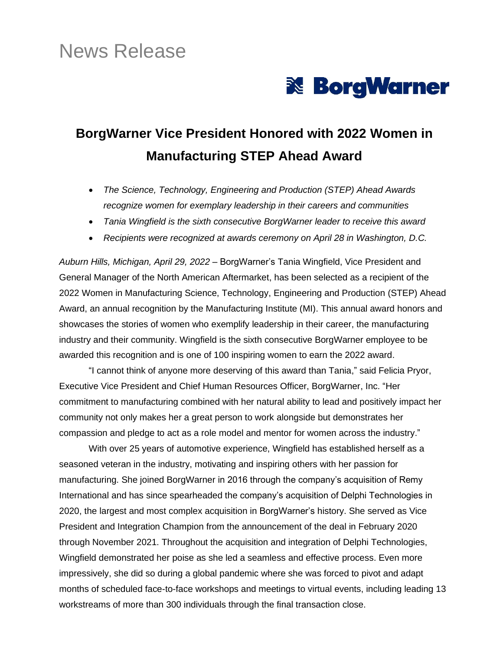# News Release



## **BorgWarner Vice President Honored with 2022 Women in Manufacturing STEP Ahead Award**

- *The Science, Technology, Engineering and Production (STEP) Ahead Awards recognize women for exemplary leadership in their careers and communities*
- *Tania Wingfield is the sixth consecutive BorgWarner leader to receive this award*
- *Recipients were recognized at awards ceremony on April 28 in Washington, D.C.*

*Auburn Hills, Michigan, April 29, 2022* – BorgWarner's Tania Wingfield, Vice President and General Manager of the North American Aftermarket, has been selected as a recipient of the 2022 Women in Manufacturing Science, Technology, Engineering and Production (STEP) Ahead Award, an annual recognition by the Manufacturing Institute (MI). This annual award honors and showcases the stories of women who exemplify leadership in their career, the manufacturing industry and their community. Wingfield is the sixth consecutive BorgWarner employee to be awarded this recognition and is one of 100 inspiring women to earn the 2022 award.

"I cannot think of anyone more deserving of this award than Tania," said Felicia Pryor, Executive Vice President and Chief Human Resources Officer, BorgWarner, Inc. "Her commitment to manufacturing combined with her natural ability to lead and positively impact her community not only makes her a great person to work alongside but demonstrates her compassion and pledge to act as a role model and mentor for women across the industry."

With over 25 years of automotive experience, Wingfield has established herself as a seasoned veteran in the industry, motivating and inspiring others with her passion for manufacturing. She joined BorgWarner in 2016 through the company's acquisition of Remy International and has since spearheaded the company's acquisition of Delphi Technologies in 2020, the largest and most complex acquisition in BorgWarner's history. She served as Vice President and Integration Champion from the announcement of the deal in February 2020 through November 2021. Throughout the acquisition and integration of Delphi Technologies, Wingfield demonstrated her poise as she led a seamless and effective process. Even more impressively, she did so during a global pandemic where she was forced to pivot and adapt months of scheduled face-to-face workshops and meetings to virtual events, including leading 13 workstreams of more than 300 individuals through the final transaction close.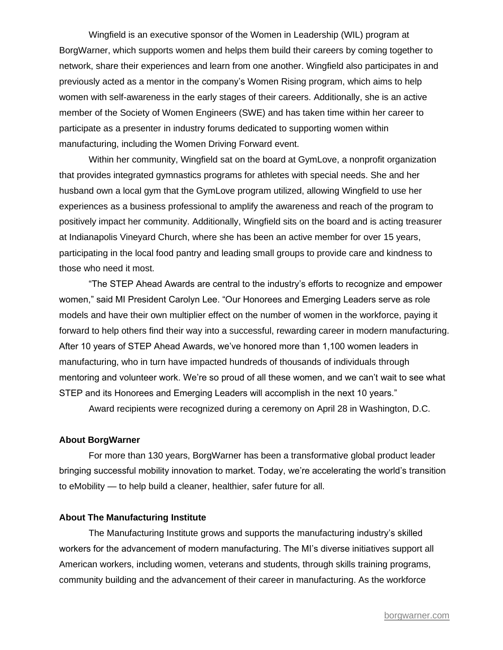Wingfield is an executive sponsor of the Women in Leadership (WIL) program at BorgWarner, which supports women and helps them build their careers by coming together to network, share their experiences and learn from one another. Wingfield also participates in and previously acted as a mentor in the company's Women Rising program, which aims to help women with self-awareness in the early stages of their careers. Additionally, she is an active member of the Society of Women Engineers (SWE) and has taken time within her career to participate as a presenter in industry forums dedicated to supporting women within manufacturing, including the Women Driving Forward event.

Within her community, Wingfield sat on the board at GymLove, a nonprofit organization that provides integrated gymnastics programs for athletes with special needs. She and her husband own a local gym that the GymLove program utilized, allowing Wingfield to use her experiences as a business professional to amplify the awareness and reach of the program to positively impact her community. Additionally, Wingfield sits on the board and is acting treasurer at Indianapolis Vineyard Church, where she has been an active member for over 15 years, participating in the local food pantry and leading small groups to provide care and kindness to those who need it most.

"The STEP Ahead Awards are central to the industry's efforts to recognize and empower women," said MI President Carolyn Lee. "Our Honorees and Emerging Leaders serve as role models and have their own multiplier effect on the number of women in the workforce, paying it forward to help others find their way into a successful, rewarding career in modern manufacturing. After 10 years of STEP Ahead Awards, we've honored more than 1,100 women leaders in manufacturing, who in turn have impacted hundreds of thousands of individuals through mentoring and volunteer work. We're so proud of all these women, and we can't wait to see what STEP and its Honorees and Emerging Leaders will accomplish in the next 10 years."

Award recipients were recognized during a ceremony on April 28 in Washington, D.C.

### **About BorgWarner**

For more than 130 years, BorgWarner has been a transformative global product leader bringing successful mobility innovation to market. Today, we're accelerating the world's transition to eMobility — to help build a cleaner, healthier, safer future for all.

#### **About The Manufacturing Institute**

The Manufacturing Institute grows and supports the manufacturing industry's skilled workers for the advancement of modern manufacturing. The MI's diverse initiatives support all American workers, including women, veterans and students, through skills training programs, community building and the advancement of their career in manufacturing. As the workforce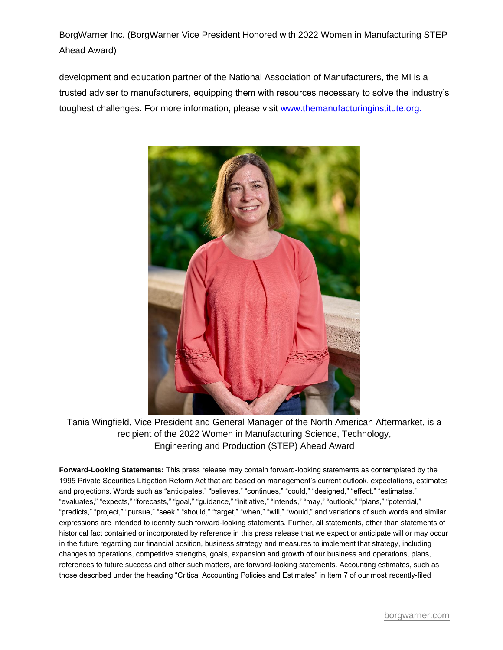BorgWarner Inc. (BorgWarner Vice President Honored with 2022 Women in Manufacturing STEP Ahead Award)

development and education partner of the National Association of Manufacturers, the MI is a trusted adviser to manufacturers, equipping them with resources necessary to solve the industry's toughest challenges. For more information, please visit [www.themanufacturinginstitute.org.](http://www.themanufacturinginstitute.org/)



Tania Wingfield, Vice President and General Manager of the North American Aftermarket, is a recipient of the 2022 Women in Manufacturing Science, Technology, Engineering and Production (STEP) Ahead Award

**Forward-Looking Statements:** This press release may contain forward-looking statements as contemplated by the 1995 Private Securities Litigation Reform Act that are based on management's current outlook, expectations, estimates and projections. Words such as "anticipates," "believes," "continues," "could," "designed," "effect," "estimates," "evaluates," "expects," "forecasts," "goal," "guidance," "initiative," "intends," "may," "outlook," "plans," "potential," "predicts," "project," "pursue," "seek," "should," "target," "when," "will," "would," and variations of such words and similar expressions are intended to identify such forward-looking statements. Further, all statements, other than statements of historical fact contained or incorporated by reference in this press release that we expect or anticipate will or may occur in the future regarding our financial position, business strategy and measures to implement that strategy, including changes to operations, competitive strengths, goals, expansion and growth of our business and operations, plans, references to future success and other such matters, are forward-looking statements. Accounting estimates, such as those described under the heading "Critical Accounting Policies and Estimates" in Item 7 of our most recently-filed